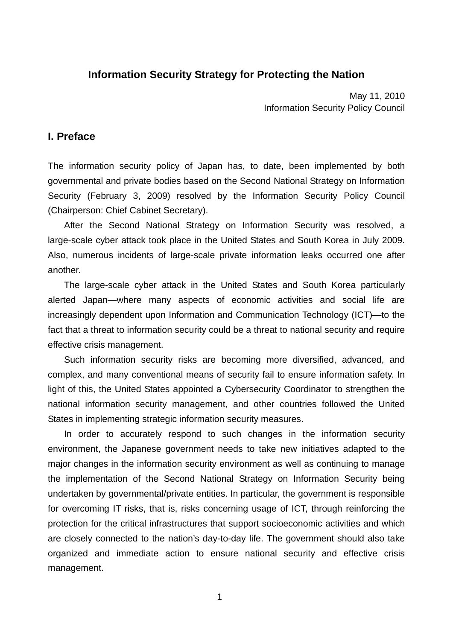### **Information Security Strategy for Protecting the Nation**

May 11, 2010 Information Security Policy Council

### **I. Preface**

The information security policy of Japan has, to date, been implemented by both governmental and private bodies based on the Second National Strategy on Information Security (February 3, 2009) resolved by the Information Security Policy Council (Chairperson: Chief Cabinet Secretary).

After the Second National Strategy on Information Security was resolved, a large-scale cyber attack took place in the United States and South Korea in July 2009. Also, numerous incidents of large-scale private information leaks occurred one after another.

The large-scale cyber attack in the United States and South Korea particularly alerted Japan—where many aspects of economic activities and social life are increasingly dependent upon Information and Communication Technology (ICT)—to the fact that a threat to information security could be a threat to national security and require effective crisis management.

Such information security risks are becoming more diversified, advanced, and complex, and many conventional means of security fail to ensure information safety. In light of this, the United States appointed a Cybersecurity Coordinator to strengthen the national information security management, and other countries followed the United States in implementing strategic information security measures.

In order to accurately respond to such changes in the information security environment, the Japanese government needs to take new initiatives adapted to the major changes in the information security environment as well as continuing to manage the implementation of the Second National Strategy on Information Security being undertaken by governmental/private entities. In particular, the government is responsible for overcoming IT risks, that is, risks concerning usage of ICT, through reinforcing the protection for the critical infrastructures that support socioeconomic activities and which are closely connected to the nation's day-to-day life. The government should also take organized and immediate action to ensure national security and effective crisis management.

1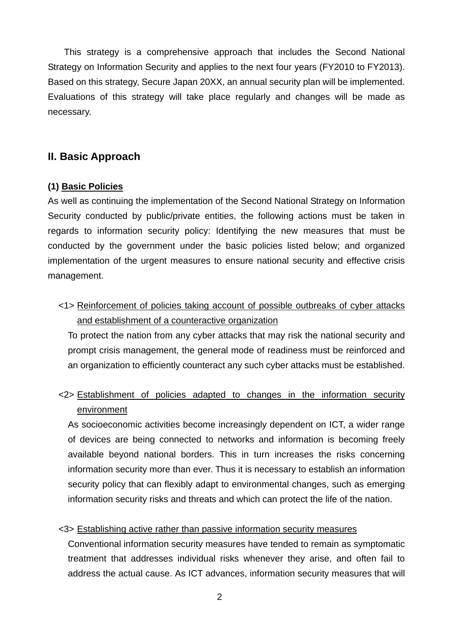This strategy is a comprehensive approach that includes the Second National Strategy on Information Security and applies to the next four years (FY2010 to FY2013). Based on this strategy, Secure Japan 20XX, an annual security plan will be implemented. Evaluations of this strategy will take place regularly and changes will be made as necessary.

# **II. Basic Approach**

### **(1) Basic Policies**

As well as continuing the implementation of the Second National Strategy on Information Security conducted by public/private entities, the following actions must be taken in regards to information security policy: Identifying the new measures that must be conducted by the government under the basic policies listed below; and organized implementation of the urgent measures to ensure national security and effective crisis management.

<1> Reinforcement of policies taking account of possible outbreaks of cyber attacks and establishment of a counteractive organization

To protect the nation from any cyber attacks that may risk the national security and prompt crisis management, the general mode of readiness must be reinforced and an organization to efficiently counteract any such cyber attacks must be established.

<2> Establishment of policies adapted to changes in the information security **environment** 

As socioeconomic activities become increasingly dependent on ICT, a wider range of devices are being connected to networks and information is becoming freely available beyond national borders. This in turn increases the risks concerning information security more than ever. Thus it is necessary to establish an information security policy that can flexibly adapt to environmental changes, such as emerging information security risks and threats and which can protect the life of the nation.

### <3> Establishing active rather than passive information security measures

Conventional information security measures have tended to remain as symptomatic treatment that addresses individual risks whenever they arise, and often fail to address the actual cause. As ICT advances, information security measures that will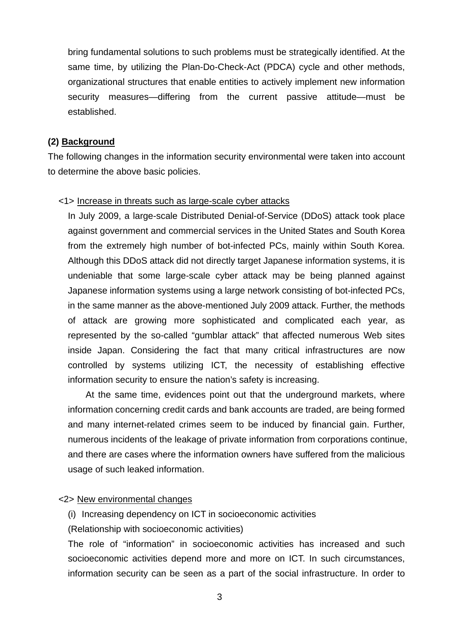bring fundamental solutions to such problems must be strategically identified. At the same time, by utilizing the Plan-Do-Check-Act (PDCA) cycle and other methods, organizational structures that enable entities to actively implement new information security measures—differing from the current passive attitude—must be established.

#### **(2) Background**

The following changes in the information security environmental were taken into account to determine the above basic policies.

#### <1> Increase in threats such as large-scale cyber attacks

In July 2009, a large-scale Distributed Denial-of-Service (DDoS) attack took place against government and commercial services in the United States and South Korea from the extremely high number of bot-infected PCs, mainly within South Korea. Although this DDoS attack did not directly target Japanese information systems, it is undeniable that some large-scale cyber attack may be being planned against Japanese information systems using a large network consisting of bot-infected PCs, in the same manner as the above-mentioned July 2009 attack. Further, the methods of attack are growing more sophisticated and complicated each year, as represented by the so-called "gumblar attack" that affected numerous Web sites inside Japan. Considering the fact that many critical infrastructures are now controlled by systems utilizing ICT, the necessity of establishing effective information security to ensure the nation's safety is increasing.

At the same time, evidences point out that the underground markets, where information concerning credit cards and bank accounts are traded, are being formed and many internet-related crimes seem to be induced by financial gain. Further, numerous incidents of the leakage of private information from corporations continue, and there are cases where the information owners have suffered from the malicious usage of such leaked information.

<2> New environmental changes

- (i) Increasing dependency on ICT in socioeconomic activities
- (Relationship with socioeconomic activities)

The role of "information" in socioeconomic activities has increased and such socioeconomic activities depend more and more on ICT. In such circumstances, information security can be seen as a part of the social infrastructure. In order to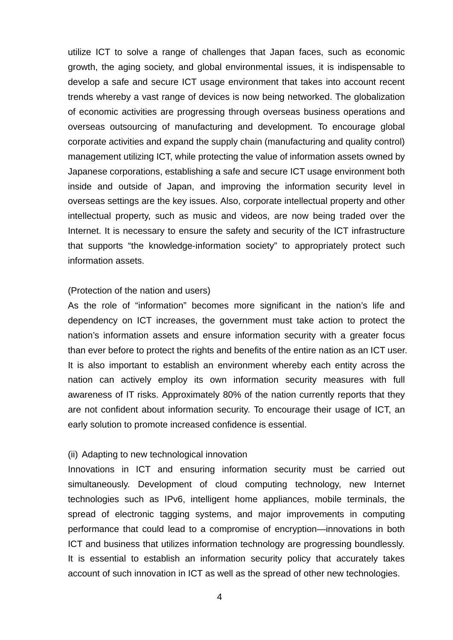utilize ICT to solve a range of challenges that Japan faces, such as economic growth, the aging society, and global environmental issues, it is indispensable to develop a safe and secure ICT usage environment that takes into account recent trends whereby a vast range of devices is now being networked. The globalization of economic activities are progressing through overseas business operations and overseas outsourcing of manufacturing and development. To encourage global corporate activities and expand the supply chain (manufacturing and quality control) management utilizing ICT, while protecting the value of information assets owned by Japanese corporations, establishing a safe and secure ICT usage environment both inside and outside of Japan, and improving the information security level in overseas settings are the key issues. Also, corporate intellectual property and other intellectual property, such as music and videos, are now being traded over the Internet. It is necessary to ensure the safety and security of the ICT infrastructure that supports "the knowledge-information society" to appropriately protect such information assets.

#### (Protection of the nation and users)

As the role of "information" becomes more significant in the nation's life and dependency on ICT increases, the government must take action to protect the nation's information assets and ensure information security with a greater focus than ever before to protect the rights and benefits of the entire nation as an ICT user. It is also important to establish an environment whereby each entity across the nation can actively employ its own information security measures with full awareness of IT risks. Approximately 80% of the nation currently reports that they are not confident about information security. To encourage their usage of ICT, an early solution to promote increased confidence is essential.

#### (ii) Adapting to new technological innovation

Innovations in ICT and ensuring information security must be carried out simultaneously. Development of cloud computing technology, new Internet technologies such as IPv6, intelligent home appliances, mobile terminals, the spread of electronic tagging systems, and major improvements in computing performance that could lead to a compromise of encryption—innovations in both ICT and business that utilizes information technology are progressing boundlessly. It is essential to establish an information security policy that accurately takes account of such innovation in ICT as well as the spread of other new technologies.

4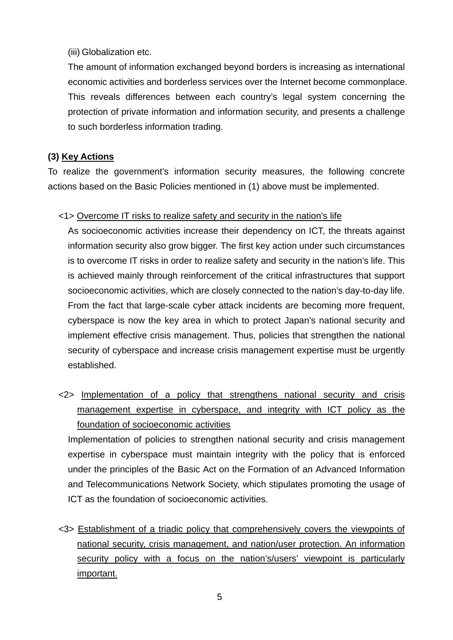## (iii) Globalization etc.

The amount of information exchanged beyond borders is increasing as international economic activities and borderless services over the Internet become commonplace. This reveals differences between each country's legal system concerning the protection of private information and information security, and presents a challenge to such borderless information trading.

# **(3) Key Actions**

To realize the government's information security measures, the following concrete actions based on the Basic Policies mentioned in (1) above must be implemented.

## <1> Overcome IT risks to realize safety and security in the nation's life

As socioeconomic activities increase their dependency on ICT, the threats against information security also grow bigger. The first key action under such circumstances is to overcome IT risks in order to realize safety and security in the nation's life. This is achieved mainly through reinforcement of the critical infrastructures that support socioeconomic activities, which are closely connected to the nation's day-to-day life. From the fact that large-scale cyber attack incidents are becoming more frequent, cyberspace is now the key area in which to protect Japan's national security and implement effective crisis management. Thus, policies that strengthen the national security of cyberspace and increase crisis management expertise must be urgently established.

<2> Implementation of a policy that strengthens national security and crisis management expertise in cyberspace, and integrity with ICT policy as the foundation of socioeconomic activities

Implementation of policies to strengthen national security and crisis management expertise in cyberspace must maintain integrity with the policy that is enforced under the principles of the Basic Act on the Formation of an Advanced Information and Telecommunications Network Society, which stipulates promoting the usage of ICT as the foundation of socioeconomic activities.

<3> Establishment of a triadic policy that comprehensively covers the viewpoints of national security, crisis management, and nation/user protection. An information security policy with a focus on the nation's/users' viewpoint is particularly important.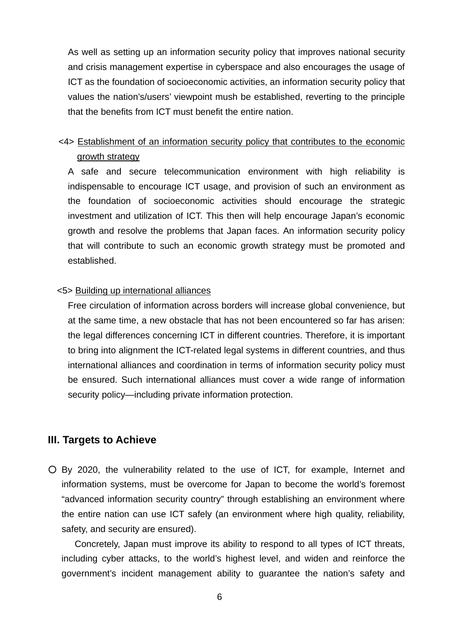As well as setting up an information security policy that improves national security and crisis management expertise in cyberspace and also encourages the usage of ICT as the foundation of socioeconomic activities, an information security policy that values the nation's/users' viewpoint mush be established, reverting to the principle that the benefits from ICT must benefit the entire nation.

# <4> Establishment of an information security policy that contributes to the economic growth strategy

A safe and secure telecommunication environment with high reliability is indispensable to encourage ICT usage, and provision of such an environment as the foundation of socioeconomic activities should encourage the strategic investment and utilization of ICT. This then will help encourage Japan's economic growth and resolve the problems that Japan faces. An information security policy that will contribute to such an economic growth strategy must be promoted and established.

#### <5> Building up international alliances

Free circulation of information across borders will increase global convenience, but at the same time, a new obstacle that has not been encountered so far has arisen: the legal differences concerning ICT in different countries. Therefore, it is important to bring into alignment the ICT-related legal systems in different countries, and thus international alliances and coordination in terms of information security policy must be ensured. Such international alliances must cover a wide range of information security policy—including private information protection.

# **III. Targets to Achieve**

○ By 2020, the vulnerability related to the use of ICT, for example, Internet and information systems, must be overcome for Japan to become the world's foremost "advanced information security country" through establishing an environment where the entire nation can use ICT safely (an environment where high quality, reliability, safety, and security are ensured).

Concretely, Japan must improve its ability to respond to all types of ICT threats, including cyber attacks, to the world's highest level, and widen and reinforce the government's incident management ability to guarantee the nation's safety and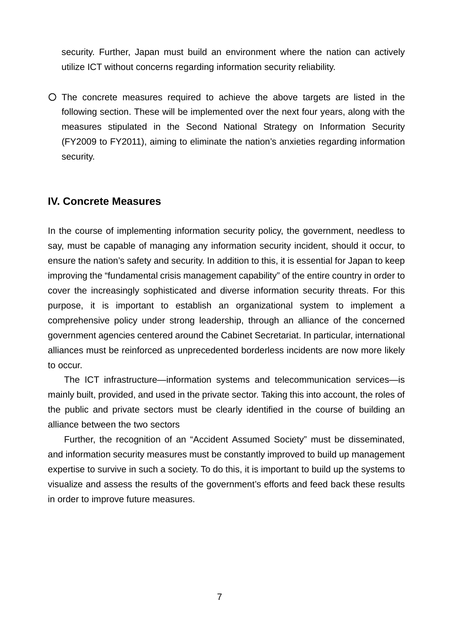security. Further, Japan must build an environment where the nation can actively utilize ICT without concerns regarding information security reliability.

○ The concrete measures required to achieve the above targets are listed in the following section. These will be implemented over the next four years, along with the measures stipulated in the Second National Strategy on Information Security (FY2009 to FY2011), aiming to eliminate the nation's anxieties regarding information security.

### **IV. Concrete Measures**

In the course of implementing information security policy, the government, needless to say, must be capable of managing any information security incident, should it occur, to ensure the nation's safety and security. In addition to this, it is essential for Japan to keep improving the "fundamental crisis management capability" of the entire country in order to cover the increasingly sophisticated and diverse information security threats. For this purpose, it is important to establish an organizational system to implement a comprehensive policy under strong leadership, through an alliance of the concerned government agencies centered around the Cabinet Secretariat. In particular, international alliances must be reinforced as unprecedented borderless incidents are now more likely to occur.

The ICT infrastructure—information systems and telecommunication services—is mainly built, provided, and used in the private sector. Taking this into account, the roles of the public and private sectors must be clearly identified in the course of building an alliance between the two sectors

Further, the recognition of an "Accident Assumed Society" must be disseminated, and information security measures must be constantly improved to build up management expertise to survive in such a society. To do this, it is important to build up the systems to visualize and assess the results of the government's efforts and feed back these results in order to improve future measures.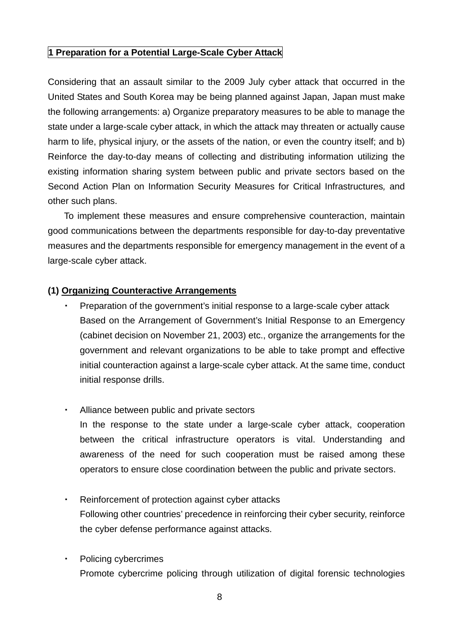## **1 Preparation for a Potential Large-Scale Cyber Attack**

Considering that an assault similar to the 2009 July cyber attack that occurred in the United States and South Korea may be being planned against Japan, Japan must make the following arrangements: a) Organize preparatory measures to be able to manage the state under a large-scale cyber attack, in which the attack may threaten or actually cause harm to life, physical injury, or the assets of the nation, or even the country itself; and b) Reinforce the day-to-day means of collecting and distributing information utilizing the existing information sharing system between public and private sectors based on the Second Action Plan on Information Security Measures for Critical Infrastructures*,* and other such plans.

To implement these measures and ensure comprehensive counteraction, maintain good communications between the departments responsible for day-to-day preventative measures and the departments responsible for emergency management in the event of a large-scale cyber attack.

### **(1) Organizing Counteractive Arrangements**

- Preparation of the government's initial response to a large-scale cyber attack Based on the Arrangement of Government's Initial Response to an Emergency (cabinet decision on November 21, 2003) etc., organize the arrangements for the government and relevant organizations to be able to take prompt and effective initial counteraction against a large-scale cyber attack. At the same time, conduct initial response drills.
- Alliance between public and private sectors In the response to the state under a large-scale cyber attack, cooperation between the critical infrastructure operators is vital. Understanding and awareness of the need for such cooperation must be raised among these operators to ensure close coordination between the public and private sectors.
- Reinforcement of protection against cyber attacks Following other countries' precedence in reinforcing their cyber security, reinforce the cyber defense performance against attacks.
- Policing cybercrimes Promote cybercrime policing through utilization of digital forensic technologies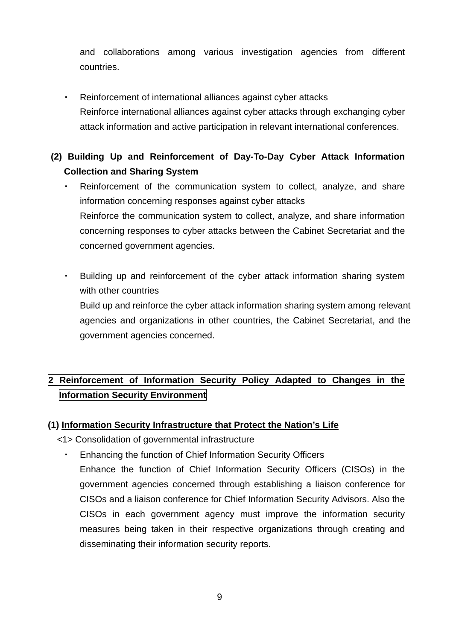and collaborations among various investigation agencies from different countries.

Reinforcement of international alliances against cyber attacks Reinforce international alliances against cyber attacks through exchanging cyber attack information and active participation in relevant international conferences.

# **(2) Building Up and Reinforcement of Day-To-Day Cyber Attack Information Collection and Sharing System**

- Reinforcement of the communication system to collect, analyze, and share information concerning responses against cyber attacks Reinforce the communication system to collect, analyze, and share information concerning responses to cyber attacks between the Cabinet Secretariat and the concerned government agencies.
- Building up and reinforcement of the cyber attack information sharing system with other countries Build up and reinforce the cyber attack information sharing system among relevant

agencies and organizations in other countries, the Cabinet Secretariat, and the government agencies concerned.

# **2 Reinforcement of Information Security Policy Adapted to Changes in the Information Security Environment**

# **(1) Information Security Infrastructure that Protect the Nation's Life**

- <1> Consolidation of governmental infrastructure
	- Enhancing the function of Chief Information Security Officers Enhance the function of Chief Information Security Officers (CISOs) in the government agencies concerned through establishing a liaison conference for CISOs and a liaison conference for Chief Information Security Advisors. Also the CISOs in each government agency must improve the information security measures being taken in their respective organizations through creating and disseminating their information security reports.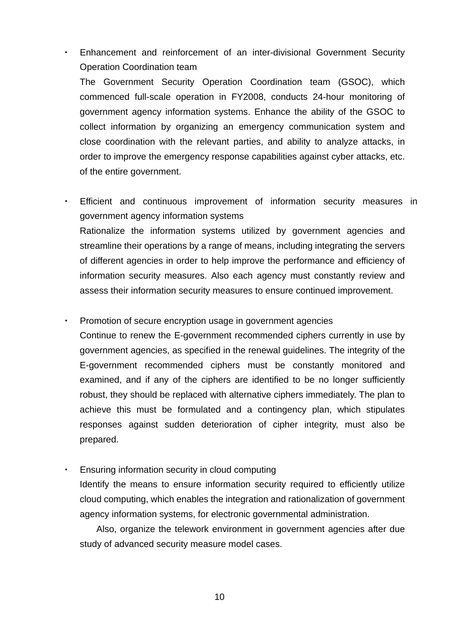Enhancement and reinforcement of an inter-divisional Government Security Operation Coordination team

The Government Security Operation Coordination team (GSOC), which commenced full-scale operation in FY2008, conducts 24-hour monitoring of government agency information systems. Enhance the ability of the GSOC to collect information by organizing an emergency communication system and close coordination with the relevant parties, and ability to analyze attacks, in order to improve the emergency response capabilities against cyber attacks, etc. of the entire government.

Efficient and continuous improvement of information security measures in government agency information systems Rationalize the information systems utilized by government agencies and streamline their operations by a range of means, including integrating the servers of different agencies in order to help improve the performance and efficiency of information security measures. Also each agency must constantly review and assess their information security measures to ensure continued improvement.

・ Promotion of secure encryption usage in government agencies

Continue to renew the E-government recommended ciphers currently in use by government agencies, as specified in the renewal guidelines. The integrity of the E-government recommended ciphers must be constantly monitored and examined, and if any of the ciphers are identified to be no longer sufficiently robust, they should be replaced with alternative ciphers immediately. The plan to achieve this must be formulated and a contingency plan, which stipulates responses against sudden deterioration of cipher integrity, must also be prepared.

Ensuring information security in cloud computing Identify the means to ensure information security required to efficiently utilize cloud computing, which enables the integration and rationalization of government agency information systems, for electronic governmental administration.

Also, organize the telework environment in government agencies after due study of advanced security measure model cases.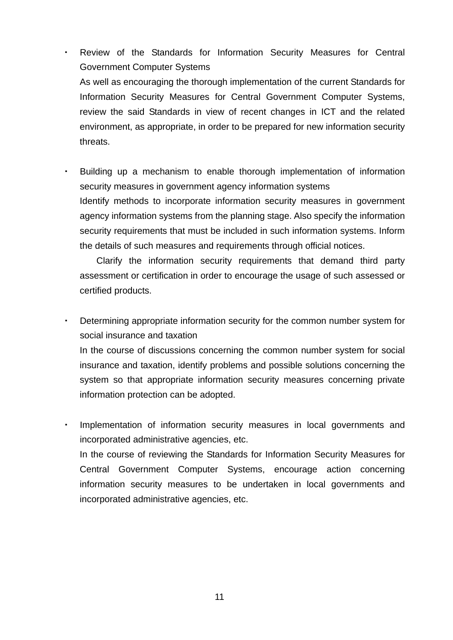Review of the Standards for Information Security Measures for Central Government Computer Systems

As well as encouraging the thorough implementation of the current Standards for Information Security Measures for Central Government Computer Systems, review the said Standards in view of recent changes in ICT and the related environment, as appropriate, in order to be prepared for new information security threats.

Building up a mechanism to enable thorough implementation of information security measures in government agency information systems Identify methods to incorporate information security measures in government agency information systems from the planning stage. Also specify the information security requirements that must be included in such information systems. Inform the details of such measures and requirements through official notices.

Clarify the information security requirements that demand third party assessment or certification in order to encourage the usage of such assessed or certified products.

Determining appropriate information security for the common number system for social insurance and taxation

In the course of discussions concerning the common number system for social insurance and taxation, identify problems and possible solutions concerning the system so that appropriate information security measures concerning private information protection can be adopted.

Implementation of information security measures in local governments and incorporated administrative agencies, etc. In the course of reviewing the Standards for Information Security Measures for Central Government Computer Systems, encourage action concerning information security measures to be undertaken in local governments and incorporated administrative agencies, etc.

11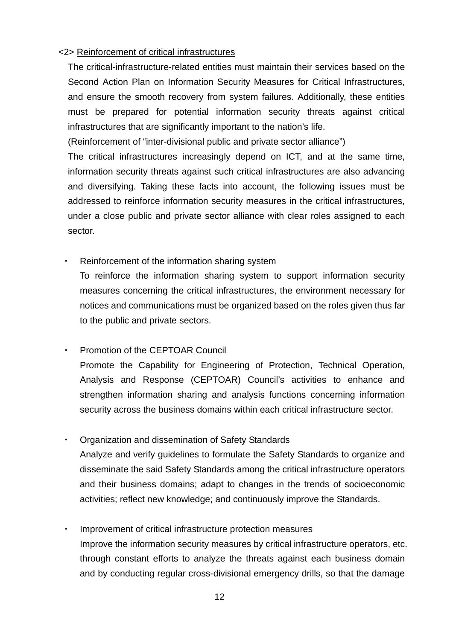### <2> Reinforcement of critical infrastructures

The critical-infrastructure-related entities must maintain their services based on the Second Action Plan on Information Security Measures for Critical Infrastructures, and ensure the smooth recovery from system failures. Additionally, these entities must be prepared for potential information security threats against critical infrastructures that are significantly important to the nation's life.

(Reinforcement of "inter-divisional public and private sector alliance")

The critical infrastructures increasingly depend on ICT, and at the same time, information security threats against such critical infrastructures are also advancing and diversifying. Taking these facts into account, the following issues must be addressed to reinforce information security measures in the critical infrastructures, under a close public and private sector alliance with clear roles assigned to each sector.

Reinforcement of the information sharing system

To reinforce the information sharing system to support information security measures concerning the critical infrastructures, the environment necessary for notices and communications must be organized based on the roles given thus far to the public and private sectors.

Promotion of the CEPTOAR Council

Promote the Capability for Engineering of Protection, Technical Operation, Analysis and Response (CEPTOAR) Council's activities to enhance and strengthen information sharing and analysis functions concerning information security across the business domains within each critical infrastructure sector.

Organization and dissemination of Safety Standards

Analyze and verify guidelines to formulate the Safety Standards to organize and disseminate the said Safety Standards among the critical infrastructure operators and their business domains; adapt to changes in the trends of socioeconomic activities; reflect new knowledge; and continuously improve the Standards.

Improvement of critical infrastructure protection measures

Improve the information security measures by critical infrastructure operators, etc. through constant efforts to analyze the threats against each business domain and by conducting regular cross-divisional emergency drills, so that the damage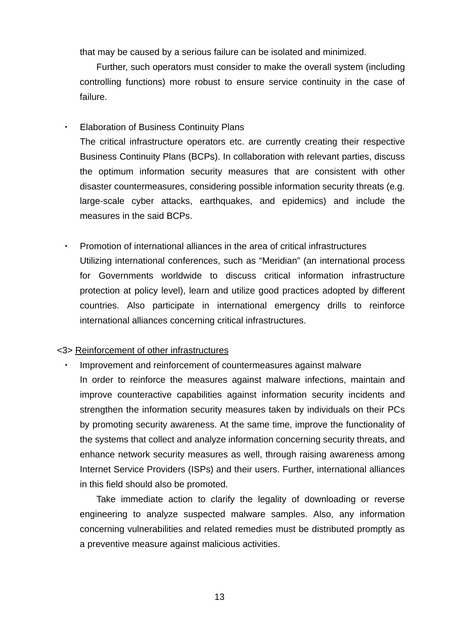that may be caused by a serious failure can be isolated and minimized.

Further, such operators must consider to make the overall system (including controlling functions) more robust to ensure service continuity in the case of failure.

**Elaboration of Business Continuity Plans** 

The critical infrastructure operators etc. are currently creating their respective Business Continuity Plans (BCPs). In collaboration with relevant parties, discuss the optimum information security measures that are consistent with other disaster countermeasures, considering possible information security threats (e.g. large-scale cyber attacks, earthquakes, and epidemics) and include the measures in the said BCPs.

・ Promotion of international alliances in the area of critical infrastructures Utilizing international conferences, such as "Meridian" (an international process for Governments worldwide to discuss critical information infrastructure protection at policy level), learn and utilize good practices adopted by different countries. Also participate in international emergency drills to reinforce international alliances concerning critical infrastructures.

#### <3> Reinforcement of other infrastructures

Improvement and reinforcement of countermeasures against malware In order to reinforce the measures against malware infections, maintain and improve counteractive capabilities against information security incidents and strengthen the information security measures taken by individuals on their PCs by promoting security awareness. At the same time, improve the functionality of the systems that collect and analyze information concerning security threats, and enhance network security measures as well, through raising awareness among Internet Service Providers (ISPs) and their users. Further, international alliances in this field should also be promoted.

Take immediate action to clarify the legality of downloading or reverse engineering to analyze suspected malware samples. Also, any information concerning vulnerabilities and related remedies must be distributed promptly as a preventive measure against malicious activities.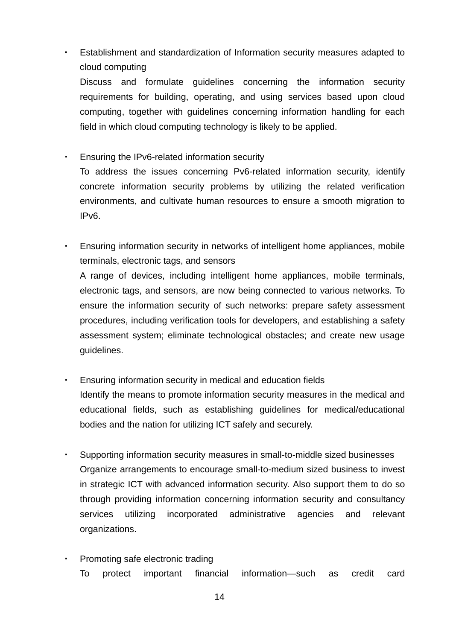Establishment and standardization of Information security measures adapted to cloud computing

Discuss and formulate guidelines concerning the information security requirements for building, operating, and using services based upon cloud computing, together with guidelines concerning information handling for each field in which cloud computing technology is likely to be applied.

Ensuring the IPv6-related information security

To address the issues concerning Pv6-related information security, identify concrete information security problems by utilizing the related verification environments, and cultivate human resources to ensure a smooth migration to IPv6.

Ensuring information security in networks of intelligent home appliances, mobile terminals, electronic tags, and sensors

A range of devices, including intelligent home appliances, mobile terminals, electronic tags, and sensors, are now being connected to various networks. To ensure the information security of such networks: prepare safety assessment procedures, including verification tools for developers, and establishing a safety assessment system; eliminate technological obstacles; and create new usage guidelines.

- Ensuring information security in medical and education fields Identify the means to promote information security measures in the medical and educational fields, such as establishing guidelines for medical/educational bodies and the nation for utilizing ICT safely and securely.
- Supporting information security measures in small-to-middle sized businesses Organize arrangements to encourage small-to-medium sized business to invest in strategic ICT with advanced information security. Also support them to do so through providing information concerning information security and consultancy services utilizing incorporated administrative agencies and relevant organizations.
- Promoting safe electronic trading To protect important financial information—such as credit card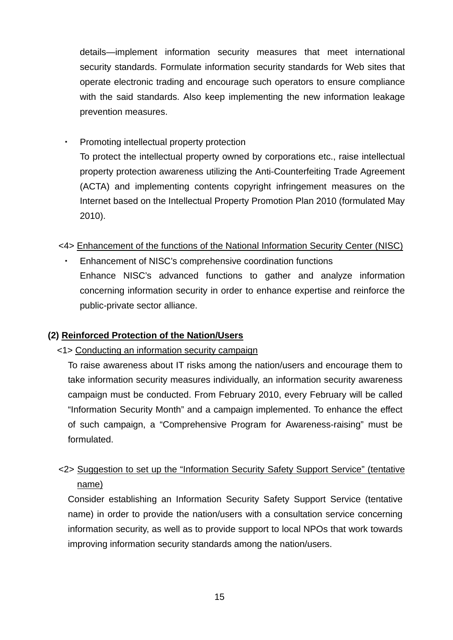details—implement information security measures that meet international security standards. Formulate information security standards for Web sites that operate electronic trading and encourage such operators to ensure compliance with the said standards. Also keep implementing the new information leakage prevention measures.

Promoting intellectual property protection

To protect the intellectual property owned by corporations etc., raise intellectual property protection awareness utilizing the Anti-Counterfeiting Trade Agreement (ACTA) and implementing contents copyright infringement measures on the Internet based on the Intellectual Property Promotion Plan 2010 (formulated May 2010).

# <4> Enhancement of the functions of the National Information Security Center (NISC)

Enhancement of NISC's comprehensive coordination functions Enhance NISC's advanced functions to gather and analyze information concerning information security in order to enhance expertise and reinforce the public-private sector alliance.

## **(2) Reinforced Protection of the Nation/Users**

## <1> Conducting an information security campaign

To raise awareness about IT risks among the nation/users and encourage them to take information security measures individually, an information security awareness campaign must be conducted. From February 2010, every February will be called "Information Security Month" and a campaign implemented. To enhance the effect of such campaign, a "Comprehensive Program for Awareness-raising" must be formulated.

# <2> Suggestion to set up the "Information Security Safety Support Service" (tentative name)

Consider establishing an Information Security Safety Support Service (tentative name) in order to provide the nation/users with a consultation service concerning information security, as well as to provide support to local NPOs that work towards improving information security standards among the nation/users.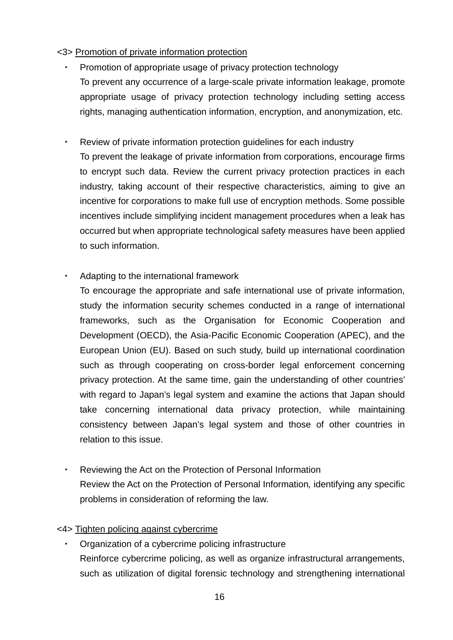## <3> Promotion of private information protection

- Promotion of appropriate usage of privacy protection technology To prevent any occurrence of a large-scale private information leakage, promote appropriate usage of privacy protection technology including setting access rights, managing authentication information, encryption, and anonymization, etc.
- Review of private information protection guidelines for each industry To prevent the leakage of private information from corporations, encourage firms to encrypt such data. Review the current privacy protection practices in each industry, taking account of their respective characteristics, aiming to give an incentive for corporations to make full use of encryption methods. Some possible incentives include simplifying incident management procedures when a leak has occurred but when appropriate technological safety measures have been applied to such information.
- Adapting to the international framework

To encourage the appropriate and safe international use of private information, study the information security schemes conducted in a range of international frameworks, such as the Organisation for Economic Cooperation and Development (OECD), the Asia-Pacific Economic Cooperation (APEC), and the European Union (EU). Based on such study, build up international coordination such as through cooperating on cross-border legal enforcement concerning privacy protection. At the same time, gain the understanding of other countries' with regard to Japan's legal system and examine the actions that Japan should take concerning international data privacy protection, while maintaining consistency between Japan's legal system and those of other countries in relation to this issue.

・ Reviewing the Act on the Protection of Personal Information Review the Act on the Protection of Personal Information*,* identifying any specific problems in consideration of reforming the law.

## <4> Tighten policing against cybercrime

Organization of a cybercrime policing infrastructure Reinforce cybercrime policing, as well as organize infrastructural arrangements, such as utilization of digital forensic technology and strengthening international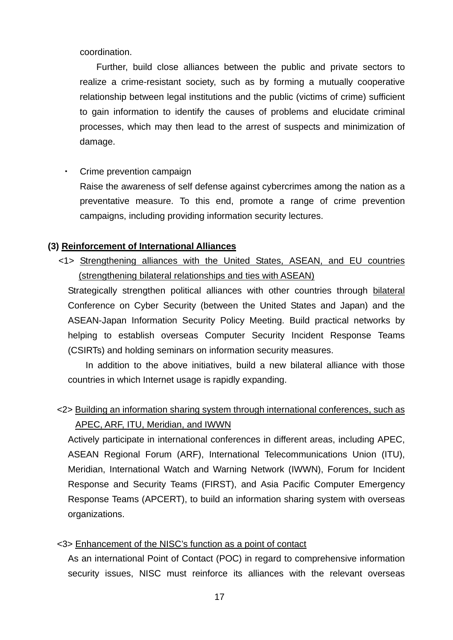coordination.

Further, build close alliances between the public and private sectors to realize a crime-resistant society, such as by forming a mutually cooperative relationship between legal institutions and the public (victims of crime) sufficient to gain information to identify the causes of problems and elucidate criminal processes, which may then lead to the arrest of suspects and minimization of damage.

## Crime prevention campaign

Raise the awareness of self defense against cybercrimes among the nation as a preventative measure. To this end, promote a range of crime prevention campaigns, including providing information security lectures.

## **(3) Reinforcement of International Alliances**

<1> Strengthening alliances with the United States, ASEAN, and EU countries (strengthening bilateral relationships and ties with ASEAN)

Strategically strengthen political alliances with other countries through bilateral Conference on Cyber Security (between the United States and Japan) and the ASEAN-Japan Information Security Policy Meeting. Build practical networks by helping to establish overseas Computer Security Incident Response Teams (CSIRTs) and holding seminars on information security measures.

In addition to the above initiatives, build a new bilateral alliance with those countries in which Internet usage is rapidly expanding.

# <2> Building an information sharing system through international conferences, such as APEC, ARF, ITU, Meridian, and IWWN

Actively participate in international conferences in different areas, including APEC, ASEAN Regional Forum (ARF), International Telecommunications Union (ITU), Meridian, International Watch and Warning Network (IWWN), Forum for Incident Response and Security Teams (FIRST), and Asia Pacific Computer Emergency Response Teams (APCERT), to build an information sharing system with overseas organizations.

## <3> Enhancement of the NISC's function as a point of contact

As an international Point of Contact (POC) in regard to comprehensive information security issues, NISC must reinforce its alliances with the relevant overseas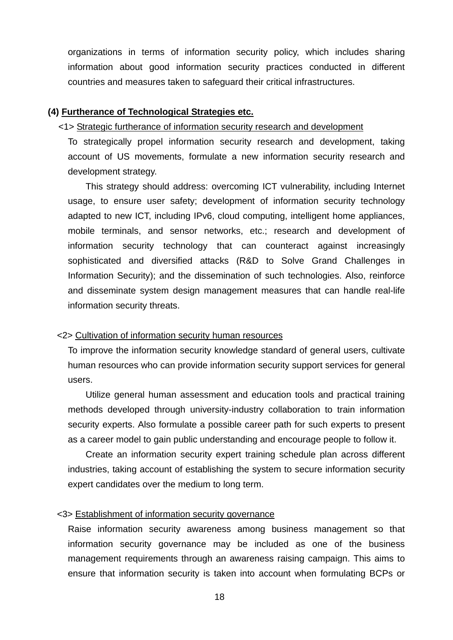organizations in terms of information security policy, which includes sharing information about good information security practices conducted in different countries and measures taken to safeguard their critical infrastructures.

#### **(4) Furtherance of Technological Strategies etc.**

#### <1> Strategic furtherance of information security research and development

To strategically propel information security research and development, taking account of US movements, formulate a new information security research and development strategy.

This strategy should address: overcoming ICT vulnerability, including Internet usage, to ensure user safety; development of information security technology adapted to new ICT, including IPv6, cloud computing, intelligent home appliances, mobile terminals, and sensor networks, etc.; research and development of information security technology that can counteract against increasingly sophisticated and diversified attacks (R&D to Solve Grand Challenges in Information Security); and the dissemination of such technologies. Also, reinforce and disseminate system design management measures that can handle real-life information security threats.

#### <2> Cultivation of information security human resources

To improve the information security knowledge standard of general users, cultivate human resources who can provide information security support services for general users.

Utilize general human assessment and education tools and practical training methods developed through university-industry collaboration to train information security experts. Also formulate a possible career path for such experts to present as a career model to gain public understanding and encourage people to follow it.

Create an information security expert training schedule plan across different industries, taking account of establishing the system to secure information security expert candidates over the medium to long term.

#### <3> Establishment of information security governance

Raise information security awareness among business management so that information security governance may be included as one of the business management requirements through an awareness raising campaign. This aims to ensure that information security is taken into account when formulating BCPs or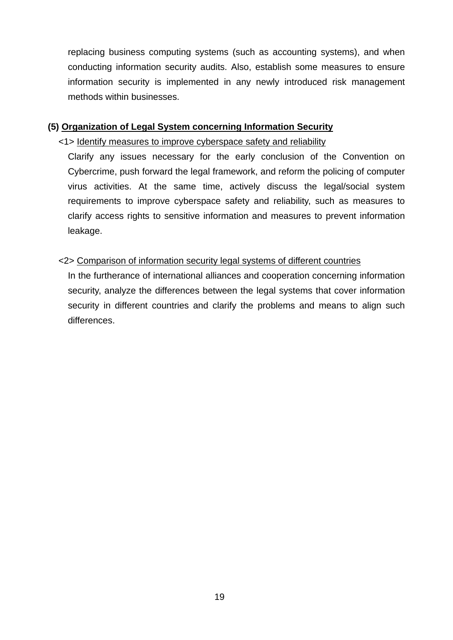replacing business computing systems (such as accounting systems), and when conducting information security audits. Also, establish some measures to ensure information security is implemented in any newly introduced risk management methods within businesses.

#### **(5) Organization of Legal System concerning Information Security**

#### <1> Identify measures to improve cyberspace safety and reliability

Clarify any issues necessary for the early conclusion of the Convention on Cybercrime, push forward the legal framework, and reform the policing of computer virus activities. At the same time, actively discuss the legal/social system requirements to improve cyberspace safety and reliability, such as measures to clarify access rights to sensitive information and measures to prevent information leakage.

### <2> Comparison of information security legal systems of different countries

In the furtherance of international alliances and cooperation concerning information security, analyze the differences between the legal systems that cover information security in different countries and clarify the problems and means to align such differences.